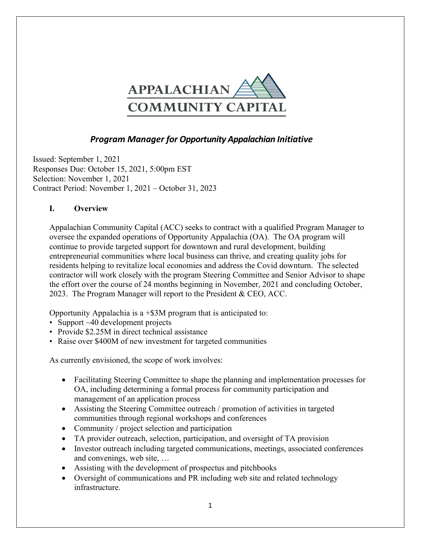

# *Program Manager for Opportunity Appalachian Initiative*

Issued: September 1, 2021 Responses Due: October 15, 2021, 5:00pm EST Selection: November 1, 2021 Contract Period: November 1, 2021 – October 31, 2023

#### **I. Overview**

Appalachian Community Capital (ACC) seeks to contract with a qualified Program Manager to oversee the expanded operations of Opportunity Appalachia (OA). The OA program will continue to provide targeted support for downtown and rural development, building entrepreneurial communities where local business can thrive, and creating quality jobs for residents helping to revitalize local economies and address the Covid downturn. The selected contractor will work closely with the program Steering Committee and Senior Advisor to shape the effort over the course of 24 months beginning in November, 2021 and concluding October, 2023. The Program Manager will report to the President & CEO, ACC.

Opportunity Appalachia is a  $+$ \$3M program that is anticipated to:

- Support ~40 development projects
- Provide \$2.25M in direct technical assistance
- Raise over \$400M of new investment for targeted communities

As currently envisioned, the scope of work involves:

- Facilitating Steering Committee to shape the planning and implementation processes for OA, including determining a formal process for community participation and management of an application process
- Assisting the Steering Committee outreach / promotion of activities in targeted communities through regional workshops and conferences
- Community / project selection and participation
- TA provider outreach, selection, participation, and oversight of TA provision
- Investor outreach including targeted communications, meetings, associated conferences and convenings, web site, …
- Assisting with the development of prospectus and pitchbooks
- Oversight of communications and PR including web site and related technology infrastructure.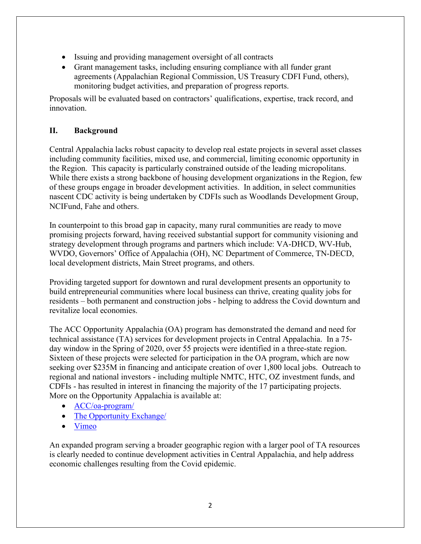- Issuing and providing management oversight of all contracts
- Grant management tasks, including ensuring compliance with all funder grant agreements (Appalachian Regional Commission, US Treasury CDFI Fund, others), monitoring budget activities, and preparation of progress reports.

Proposals will be evaluated based on contractors' qualifications, expertise, track record, and innovation.

## **II. Background**

Central Appalachia lacks robust capacity to develop real estate projects in several asset classes including community facilities, mixed use, and commercial, limiting economic opportunity in the Region. This capacity is particularly constrained outside of the leading micropolitans. While there exists a strong backbone of housing development organizations in the Region, few of these groups engage in broader development activities. In addition, in select communities nascent CDC activity is being undertaken by CDFIs such as Woodlands Development Group, NCIFund, Fahe and others.

In counterpoint to this broad gap in capacity, many rural communities are ready to move promising projects forward, having received substantial support for community visioning and strategy development through programs and partners which include: VA-DHCD, WV-Hub, WVDO, Governors' Office of Appalachia (OH), NC Department of Commerce, TN-DECD, local development districts, Main Street programs, and others.

Providing targeted support for downtown and rural development presents an opportunity to build entrepreneurial communities where local business can thrive, creating quality jobs for residents – both permanent and construction jobs - helping to address the Covid downturn and revitalize local economies.

The ACC Opportunity Appalachia (OA) program has demonstrated the demand and need for technical assistance (TA) services for development projects in Central Appalachia. In a 75 day window in the Spring of 2020, over 55 projects were identified in a three-state region. Sixteen of these projects were selected for participation in the OA program, which are now seeking over \$235M in financing and anticipate creation of over 1,800 local jobs. Outreach to regional and national investors - including multiple NMTC, HTC, OZ investment funds, and CDFIs - has resulted in interest in financing the majority of the 17 participating projects. More on the Opportunity Appalachia is available at:

- [ACC/oa-program/](https://appalachiancommunitycapitalcdfi.org/oa-program/)
- The [Opportunity](https://www.theopportunityexchange.com/OppAp/profile/) Exchange
- [Vimeo](https://vimeo.com/user133417768)

An expanded program serving a broader geographic region with a larger pool of TA resources is clearly needed to continue development activities in Central Appalachia, and help address economic challenges resulting from the Covid epidemic.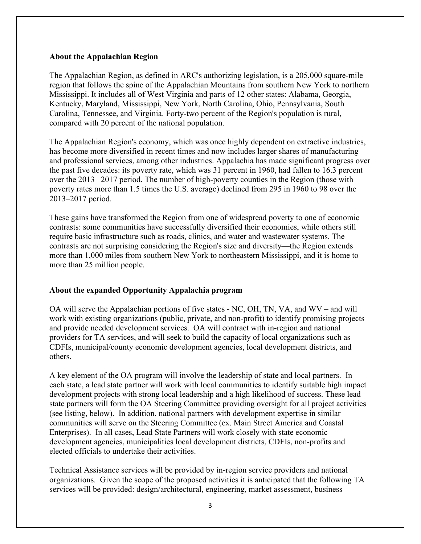#### **About the Appalachian Region**

The Appalachian Region, as defined in ARC's authorizing legislation, is a 205,000 square-mile region that follows the spine of the Appalachian Mountains from southern New York to northern Mississippi. It includes all of West Virginia and parts of 12 other states: Alabama, Georgia, Kentucky, Maryland, Mississippi, New York, North Carolina, Ohio, Pennsylvania, South Carolina, Tennessee, and Virginia. Forty-two percent of the Region's population is rural, compared with 20 percent of the national population.

The Appalachian Region's economy, which was once highly dependent on extractive industries, has become more diversified in recent times and now includes larger shares of manufacturing and professional services, among other industries. Appalachia has made significant progress over the past five decades: its poverty rate, which was 31 percent in 1960, had fallen to 16.3 percent over the 2013– 2017 period. The number of high-poverty counties in the Region (those with poverty rates more than 1.5 times the U.S. average) declined from 295 in 1960 to 98 over the 2013–2017 period.

These gains have transformed the Region from one of widespread poverty to one of economic contrasts: some communities have successfully diversified their economies, while others still require basic infrastructure such as roads, clinics, and water and wastewater systems. The contrasts are not surprising considering the Region's size and diversity—the Region extends more than 1,000 miles from southern New York to northeastern Mississippi, and it is home to more than 25 million people.

#### **About the expanded Opportunity Appalachia program**

OA will serve the Appalachian portions of five states - NC, OH, TN, VA, and WV – and will work with existing organizations (public, private, and non-profit) to identify promising projects and provide needed development services. OA will contract with in-region and national providers for TA services, and will seek to build the capacity of local organizations such as CDFIs, municipal/county economic development agencies, local development districts, and others.

A key element of the OA program will involve the leadership of state and local partners. In each state, a lead state partner will work with local communities to identify suitable high impact development projects with strong local leadership and a high likelihood of success. These lead state partners will form the OA Steering Committee providing oversight for all project activities (see listing, below). In addition, national partners with development expertise in similar communities will serve on the Steering Committee (ex. Main Street America and Coastal Enterprises). In all cases, Lead State Partners will work closely with state economic development agencies, municipalities local development districts, CDFIs, non-profits and elected officials to undertake their activities.

Technical Assistance services will be provided by in-region service providers and national organizations. Given the scope of the proposed activities it is anticipated that the following TA services will be provided: design/architectural, engineering, market assessment, business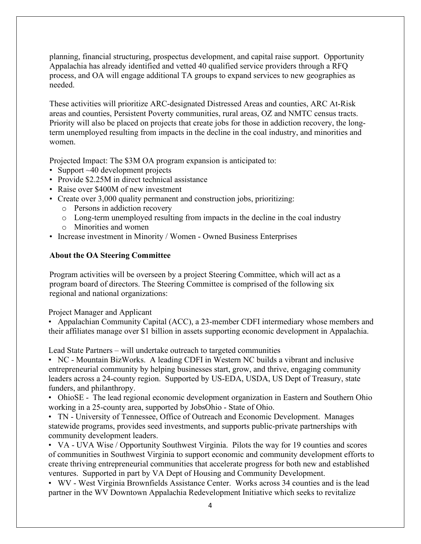planning, financial structuring, prospectus development, and capital raise support. Opportunity Appalachia has already identified and vetted 40 qualified service providers through a RFQ process, and OA will engage additional TA groups to expand services to new geographies as needed.

These activities will prioritize ARC-designated Distressed Areas and counties, ARC At-Risk areas and counties, Persistent Poverty communities, rural areas, OZ and NMTC census tracts. Priority will also be placed on projects that create jobs for those in addiction recovery, the longterm unemployed resulting from impacts in the decline in the coal industry, and minorities and women.

Projected Impact: The \$3M OA program expansion is anticipated to:

- Support ~40 development projects
- Provide \$2.25M in direct technical assistance
- Raise over \$400M of new investment
- Create over 3,000 quality permanent and construction jobs, prioritizing:
	- o Persons in addiction recovery
	- o Long-term unemployed resulting from impacts in the decline in the coal industry
	- o Minorities and women
- Increase investment in Minority / Women Owned Business Enterprises

#### **About the OA Steering Committee**

Program activities will be overseen by a project Steering Committee, which will act as a program board of directors. The Steering Committee is comprised of the following six regional and national organizations:

Project Manager and Applicant

• Appalachian Community Capital (ACC), a 23-member CDFI intermediary whose members and their affiliates manage over \$1 billion in assets supporting economic development in Appalachia.

Lead State Partners – will undertake outreach to targeted communities

• NC - Mountain BizWorks. A leading CDFI in Western NC builds a vibrant and inclusive entrepreneurial community by helping businesses start, grow, and thrive, engaging community leaders across a 24-county region. Supported by US-EDA, USDA, US Dept of Treasury, state funders, and philanthropy.

• OhioSE - The lead regional economic development organization in Eastern and Southern Ohio working in a 25-county area, supported by JobsOhio - State of Ohio.

• TN - University of Tennessee, Office of Outreach and Economic Development. Manages statewide programs, provides seed investments, and supports public-private partnerships with community development leaders.

• VA - UVA Wise / Opportunity Southwest Virginia. Pilots the way for 19 counties and scores of communities in Southwest Virginia to support economic and community development efforts to create thriving entrepreneurial communities that accelerate progress for both new and established ventures. Supported in part by VA Dept of Housing and Community Development.

• WV - West Virginia Brownfields Assistance Center. Works across 34 counties and is the lead partner in the WV Downtown Appalachia Redevelopment Initiative which seeks to revitalize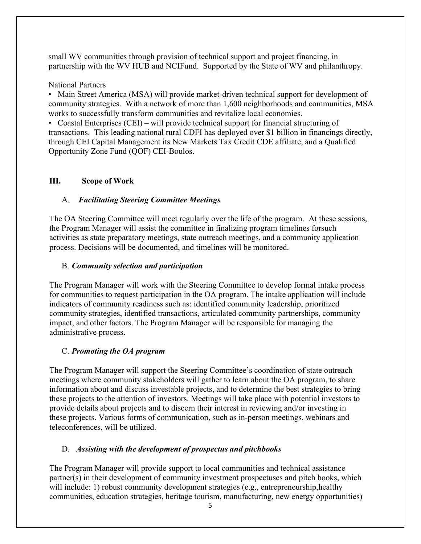small WV communities through provision of technical support and project financing, in partnership with the WV HUB and NCIFund. Supported by the State of WV and philanthropy.

National Partners

• Main Street America (MSA) will provide market-driven technical support for development of community strategies. With a network of more than 1,600 neighborhoods and communities, MSA works to successfully transform communities and revitalize local economies.

• Coastal Enterprises (CEI) – will provide technical support for financial structuring of transactions. This leading national rural CDFI has deployed over \$1 billion in financings directly, through CEI Capital Management its New Markets Tax Credit CDE affiliate, and a Qualified Opportunity Zone Fund (QOF) CEI-Boulos.

### **III. Scope of Work**

### A. *Facilitating Steering Committee Meetings*

The OA Steering Committee will meet regularly over the life of the program. At these sessions, the Program Manager will assist the committee in finalizing program timelines forsuch activities as state preparatory meetings, state outreach meetings, and a community application process. Decisions will be documented, and timelines will be monitored.

### B. *Community selection and participation*

The Program Manager will work with the Steering Committee to develop formal intake process for communities to request participation in the OA program. The intake application will include indicators of community readiness such as: identified community leadership, prioritized community strategies, identified transactions, articulated community partnerships, community impact, and other factors. The Program Manager will be responsible for managing the administrative process.

## C. *Promoting the OA program*

The Program Manager will support the Steering Committee's coordination of state outreach meetings where community stakeholders will gather to learn about the OA program, to share information about and discuss investable projects, and to determine the best strategies to bring these projects to the attention of investors. Meetings will take place with potential investors to provide details about projects and to discern their interest in reviewing and/or investing in these projects. Various forms of communication, such as in-person meetings, webinars and teleconferences, will be utilized.

## D. *Assisting with the development of prospectus and pitchbooks*

The Program Manager will provide support to local communities and technical assistance partner(s) in their development of community investment prospectuses and pitch books, which will include: 1) robust community development strategies (e.g., entrepreneurship, healthy communities, education strategies, heritage tourism, manufacturing, new energy opportunities)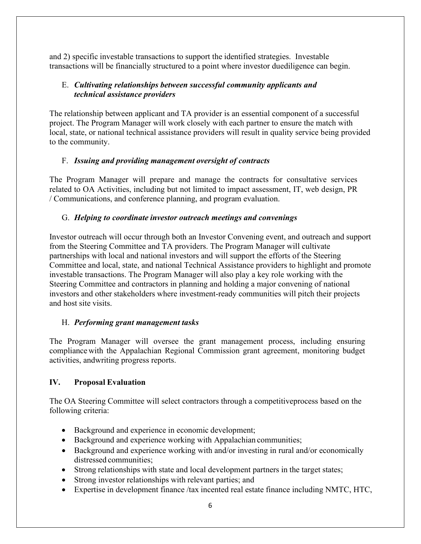and 2) specific investable transactions to support the identified strategies. Investable transactions will be financially structured to a point where investor duediligence can begin.

## E. *Cultivating relationships between successful community applicants and technical assistance providers*

The relationship between applicant and TA provider is an essential component of a successful project. The Program Manager will work closely with each partner to ensure the match with local, state, or national technical assistance providers will result in quality service being provided to the community.

#### F. *Issuing and providing management oversight of contracts*

The Program Manager will prepare and manage the contracts for consultative services related to OA Activities, including but not limited to impact assessment, IT, web design, PR / Communications, and conference planning, and program evaluation.

### G. *Helping to coordinate investor outreach meetings and convenings*

Investor outreach will occur through both an Investor Convening event, and outreach and support from the Steering Committee and TA providers. The Program Manager will cultivate partnerships with local and national investors and will support the efforts of the Steering Committee and local, state, and national Technical Assistance providers to highlight and promote investable transactions. The Program Manager will also play a key role working with the Steering Committee and contractors in planning and holding a major convening of national investors and other stakeholders where investment-ready communities will pitch their projects and host site visits.

## H. *Performing grant management tasks*

The Program Manager will oversee the grant management process, including ensuring compliance with the Appalachian Regional Commission grant agreement, monitoring budget activities, andwriting progress reports.

## **IV. Proposal Evaluation**

The OA Steering Committee will select contractors through a competitiveprocess based on the following criteria:

- Background and experience in economic development;
- Background and experience working with Appalachian communities;
- Background and experience working with and/or investing in rural and/or economically distressed communities;
- Strong relationships with state and local development partners in the target states;
- Strong investor relationships with relevant parties; and
- Expertise in development finance /tax incented real estate finance including NMTC, HTC,